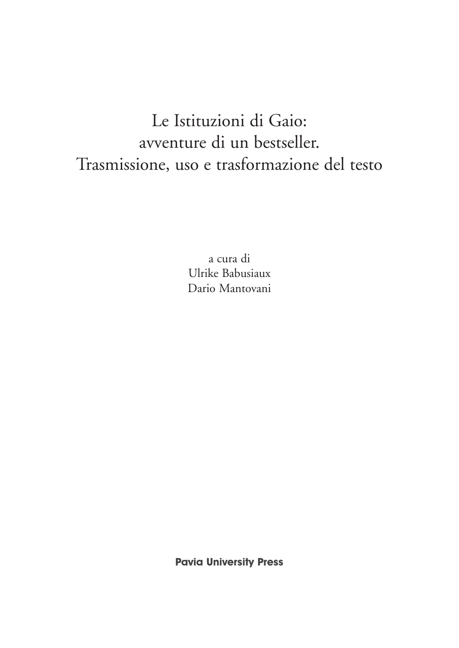# Le Istituzioni di Gaio: avventure di un bestseller. Trasmissione, uso e trasformazione del testo

a cura di Ulrike Babusiaux Dario Mantovani

**Pavia University Press**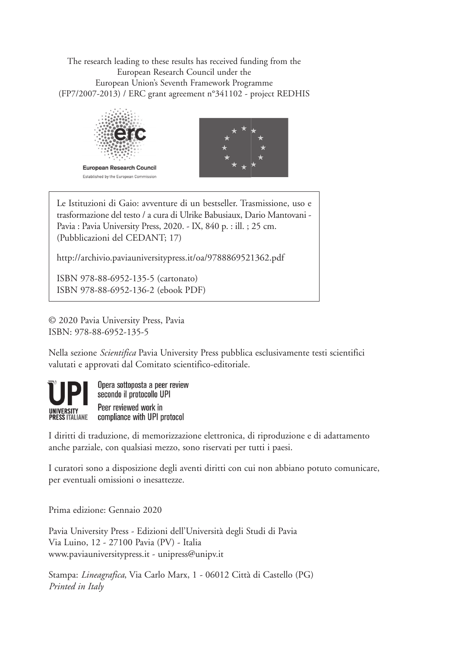The research leading to these results has received funding from the European Research Council under the European Union's Seventh Framework Programme (FP7/2007-2013) / ERC grant agreement n°341102 - project REDHIS





Le Istituzioni di Gaio: avventure di un bestseller. Trasmissione, uso e trasformazione del testo / a cura di Ulrike Babusiaux, Dario Mantovani - Pavia : Pavia University Press, 2020. - IX, 840 p. : ill. ; 25 cm. (Pubblicazioni del CEDANT; 17)

http://archivio.paviauniversitypress.it/oa/9788869521362.pdf

ISBN 978-88-6952-135-5 (cartonato) ISBN 978-88-6952-136-2 (ebook PDF)

© 2020 Pavia University Press, Pavia ISBN: 978-88-6952-135-5

Nella sezione *Scientifica* Pavia University Press pubblica esclusivamente testi scientifici valutati e approvati dal Comitato scientifico-editoriale.



I diritti di traduzione, di memorizzazione elettronica, di riproduzione e di adattamento anche parziale, con qualsiasi mezzo, sono riservati per tutti i paesi.

I curatori sono a disposizione degli aventi diritti con cui non abbiano potuto comunicare, per eventuali omissioni o inesattezze.

Prima edizione: Gennaio 2020

Pavia University Press - Edizioni dell'Università degli Studi di Pavia Via Luino, 12 - 27100 Pavia (PV) - Italia www.paviauniversitypress.it - unipress@unipv.it

Stampa: *Lineagrafica*, Via Carlo Marx, 1 - 06012 Città di Castello (PG) *Printed in Italy*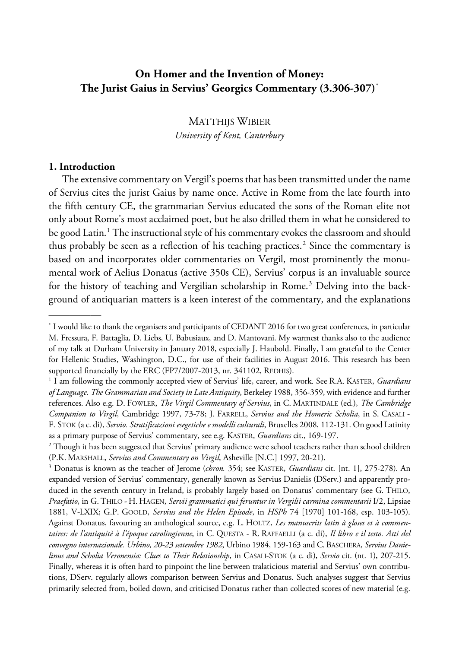# **On Homer and the Invention of Money: The Jurist Gaius in Servius' Georgics Commentary (3.306-307)**[\\*](#page-2-0)

MATTHIJS WIBIER *University of Kent, Canterbury*

#### **1. Introduction**

—————

The extensive commentary on Vergil's poems that has been transmitted under the name of Servius cites the jurist Gaius by name once. Active in Rome from the late fourth into the fifth century CE, the grammarian Servius educated the sons of the Roman elite not only about Rome's most acclaimed poet, but he also drilled them in what he considered to be good Latin. $1$  The instructional style of his commentary evokes the classroom and should thus probably be seen as a reflection of his teaching practices.<sup>[2](#page-2-2)</sup> Since the commentary is based on and incorporates older commentaries on Vergil, most prominently the monumental work of Aelius Donatus (active 350s CE), Servius' corpus is an invaluable source for the history of teaching and Vergilian scholarship in Rome.<sup>[3](#page-2-3)</sup> Delving into the background of antiquarian matters is a keen interest of the commentary, and the explanations

<span id="page-2-0"></span><sup>\*</sup> I would like to thank the organisers and participants of CEDANT 2016 for two great conferences, in particular M. Fressura, F. Battaglia, D. Liebs, U. Babusiaux, and D. Mantovani. My warmest thanks also to the audience of my talk at Durham University in January 2018, especially J. Haubold. Finally, I am grateful to the Center for Hellenic Studies, Washington, D.C., for use of their facilities in August 2016. This research has been supported financially by the ERC (FP7/2007-2013, nr. 341102, REDHIS).

<span id="page-2-1"></span><sup>1</sup> I am following the commonly accepted view of Servius' life, career, and work. See R.A. KASTER, *Guardians of Language. The Grammarian and Society in Late Antiquity*, Berkeley 1988, 356-359, with evidence and further references. Also e.g. D. FOWLER, *The Virgil Commentary of Servius*, in C. MARTINDALE (ed.), *The Cambridge Companion to Virgil*, Cambridge 1997, 73-78; J. FARRELL, *Servius and the Homeric Scholia*, in S. CASALI - F. STOK (a c. di), *Servio. Stratificazioni esegetiche e modelli culturali*, Bruxelles 2008, 112-131. On good Latinity as a primary purpose of Servius' commentary, see e.g. KASTER, *Guardians* cit., 169-197.

<span id="page-2-2"></span><sup>&</sup>lt;sup>2</sup> Though it has been suggested that Servius' primary audience were school teachers rather than school children (P.K. MARSHALL, *Servius and Commentary on Virgil*, Asheville [N.C.] 1997, 20-21).

<span id="page-2-3"></span><sup>3</sup> Donatus is known as the teacher of Jerome (*chron.* 354; see KASTER, *Guardians* cit. [nt. 1], 275-278). An expanded version of Servius' commentary, generally known as Servius Danielis (DServ.) and apparently produced in the seventh century in Ireland, is probably largely based on Donatus' commentary (see G. THILO, *Praefatio*, in G. THILO - H. HAGEN, *Servii grammatici qui feruntur in Vergilii carmina commentarii* I/2, Lipsiae 1881, V-LXIX; G.P. GOOLD, *Servius and the Helen Episode*, in *HSPh* 74 [1970] 101-168, esp. 103-105). Against Donatus, favouring an anthological source, e.g. L. HOLTZ, *Les manuscrits latin à gloses et à commentaires: de l'antiquitè à l'époque carolingienne*, in C. QUESTA - R. RAFFAELLI (a c. di), *Il libro e il testo. Atti del convegno internazionale. Urbino, 20-23 settembre 1982*, Urbino 1984, 159-163 and C. BASCHERA, *Servius Danielinus and Scholia Veronensia: Clues to Their Relationship*, in CASALI-STOK (a c. di), *Servio* cit. (nt. 1), 207-215. Finally, whereas it is often hard to pinpoint the line between tralaticious material and Servius' own contributions, DServ. regularly allows comparison between Servius and Donatus. Such analyses suggest that Servius primarily selected from, boiled down, and criticised Donatus rather than collected scores of new material (e.g.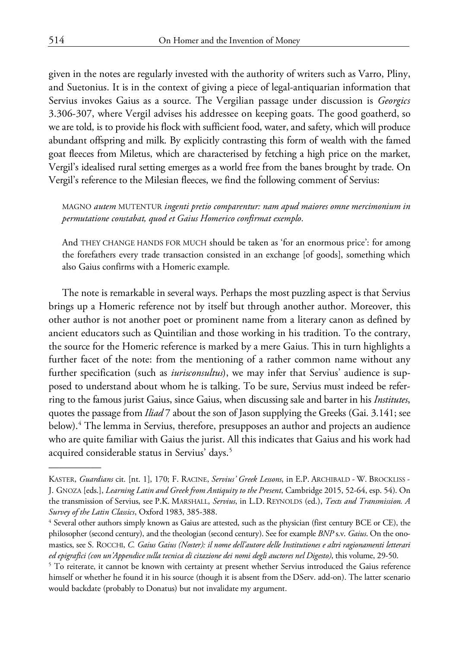given in the notes are regularly invested with the authority of writers such as Varro, Pliny, and Suetonius. It is in the context of giving a piece of legal-antiquarian information that Servius invokes Gaius as a source. The Vergilian passage under discussion is *Georgics* 3.306-307, where Vergil advises his addressee on keeping goats. The good goatherd, so we are told, is to provide his flock with sufficient food, water, and safety, which will produce abundant offspring and milk. By explicitly contrasting this form of wealth with the famed goat fleeces from Miletus, which are characterised by fetching a high price on the market, Vergil's idealised rural setting emerges as a world free from the banes brought by trade. On Vergil's reference to the Milesian fleeces, we find the following comment of Servius:

MAGNO *autem* MUTENTUR *ingenti pretio comparentur: nam apud maiores omne mercimonium in permutatione constabat, quod et Gaius Homerico confirmat exemplo*.

And THEY CHANGE HANDS FOR MUCH should be taken as 'for an enormous price': for among the forefathers every trade transaction consisted in an exchange [of goods], something which also Gaius confirms with a Homeric example.

The note is remarkable in several ways. Perhaps the most puzzling aspect is that Servius brings up a Homeric reference not by itself but through another author. Moreover, this other author is not another poet or prominent name from a literary canon as defined by ancient educators such as Quintilian and those working in his tradition. To the contrary, the source for the Homeric reference is marked by a mere Gaius. This in turn highlights a further facet of the note: from the mentioning of a rather common name without any further specification (such as *iurisconsultus*), we may infer that Servius' audience is supposed to understand about whom he is talking. To be sure, Servius must indeed be referring to the famous jurist Gaius, since Gaius, when discussing sale and barter in his *Institutes*, quotes the passage from *Iliad* 7 about the son of Jason supplying the Greeks (Gai. 3.141; see below).<sup>[4](#page-3-0)</sup> The lemma in Servius, therefore, presupposes an author and projects an audience who are quite familiar with Gaius the jurist. All this indicates that Gaius and his work had acquired considerable status in Servius' days.<sup>[5](#page-3-1)</sup>

KASTER, *Guardians* cit. [nt. 1], 170; F. RACINE, *Servius' Greek Lessons*, in E.P. ARCHIBALD - W. BROCKLISS - J. GNOZA [eds.], *Learning Latin and Greek from Antiquity to the Present*, Cambridge 2015, 52-64, esp. 54). On the transmission of Servius, see P.K. MARSHALL, *Servius*, in L.D. REYNOLDS (ed.), *Texts and Transmission. A Survey of the Latin Classics*, Oxford 1983, 385-388.

<span id="page-3-0"></span><sup>4</sup> Several other authors simply known as Gaius are attested, such as the physician (first century BCE or CE), the philosopher (second century), and the theologian (second century). See for example *BNP* s.v. *Gaius*. On the onomastics, see S. ROCCHI, *C. Gaius Gaius (Noster): il nome dell'autore delle Institutiones e altri ragionamenti letterari ed epigrafici (con un'Appendice sulla tecnica di citazione dei nomi degli auctores nel Digesto)*, this volume, 29-50.

<span id="page-3-1"></span><sup>&</sup>lt;sup>5</sup> To reiterate, it cannot be known with certainty at present whether Servius introduced the Gaius reference himself or whether he found it in his source (though it is absent from the DServ. add-on). The latter scenario would backdate (probably to Donatus) but not invalidate my argument.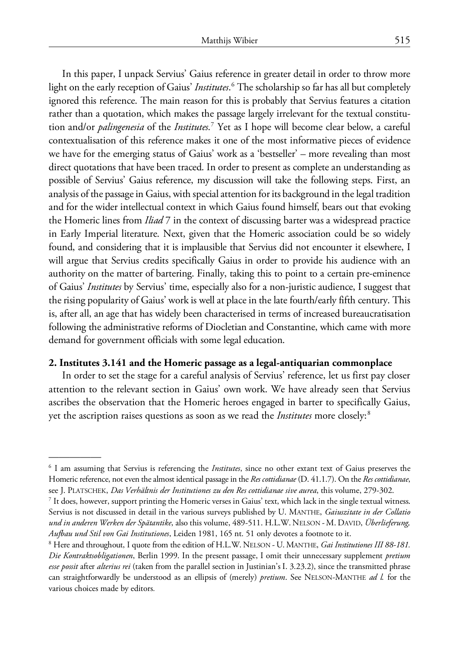In this paper, I unpack Servius' Gaius reference in greater detail in order to throw more light on the early reception of Gaius' *Institutes*. [6](#page-4-0) The scholarship so far has all but completely ignored this reference. The main reason for this is probably that Servius features a citation rather than a quotation, which makes the passage largely irrelevant for the textual constitution and/or *palingenesia* of the *Institutes*. [7](#page-4-1) Yet as I hope will become clear below, a careful contextualisation of this reference makes it one of the most informative pieces of evidence we have for the emerging status of Gaius' work as a 'bestseller' – more revealing than most direct quotations that have been traced. In order to present as complete an understanding as possible of Servius' Gaius reference, my discussion will take the following steps. First, an analysis of the passage in Gaius, with special attention for its background in the legal tradition and for the wider intellectual context in which Gaius found himself, bears out that evoking the Homeric lines from *Iliad* 7 in the context of discussing barter was a widespread practice in Early Imperial literature. Next, given that the Homeric association could be so widely found, and considering that it is implausible that Servius did not encounter it elsewhere, I will argue that Servius credits specifically Gaius in order to provide his audience with an authority on the matter of bartering. Finally, taking this to point to a certain pre-eminence of Gaius' *Institutes* by Servius' time, especially also for a non-juristic audience, I suggest that the rising popularity of Gaius' work is well at place in the late fourth/early fifth century. This is, after all, an age that has widely been characterised in terms of increased bureaucratisation following the administrative reforms of Diocletian and Constantine, which came with more demand for government officials with some legal education.

#### **2. Institutes 3.141 and the Homeric passage as a legal-antiquarian commonplace**

In order to set the stage for a careful analysis of Servius' reference, let us first pay closer attention to the relevant section in Gaius' own work. We have already seen that Servius ascribes the observation that the Homeric heroes engaged in barter to specifically Gaius, yet the ascription raises questions as soon as we read the *Institutes* more closely:[8](#page-4-2)

<span id="page-4-0"></span><sup>6</sup> I am assuming that Servius is referencing the *Institutes*, since no other extant text of Gaius preserves the Homeric reference, not even the almost identical passage in the *Res cottidianae* (D. 41.1.7). On the *Res cottidianae*, see J. PLATSCHEK, *Das Verhältnis der Institutiones zu den Res cottidianae sive aurea*, this volume, 279-302.

<span id="page-4-1"></span> $^7$  It does, however, support printing the Homeric verses in Gaius' text, which lack in the single textual witness. Servius is not discussed in detail in the various surveys published by U. MANTHE, *Gaiuszitate in der Collatio und in anderen Werken der Spätantike*, also this volume, 489-511. H.L.W. NELSON - M. DAVID, *Überlieferung, Aufbau und Stil von Gai Institutiones*, Leiden 1981, 165 nt. 51 only devotes a footnote to it.

<span id="page-4-2"></span><sup>8</sup> Here and throughout, I quote from the edition of H.L.W. NELSON - U. MANTHE, *Gai Institutiones III 88-181. Die Kontraktsobligationen*, Berlin 1999. In the present passage, I omit their unnecessary supplement *pretium esse possit* after *alterius rei* (taken from the parallel section in Justinian's I. 3.23.2), since the transmitted phrase can straightforwardly be understood as an ellipsis of (merely) *pretium*. See NELSON-MANTHE *ad l.* for the various choices made by editors*.*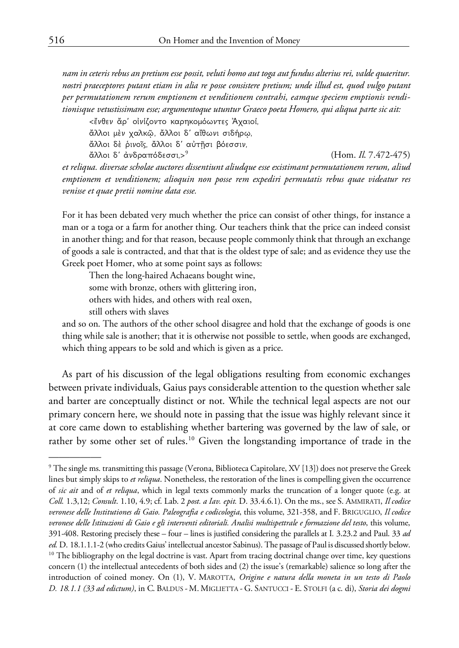*nam in ceteris rebus an pretium esse possit, veluti homo aut toga aut fundus alterius rei, valde quaeritur. nostri praeceptores putant etiam in alia re posse consistere pretium; unde illud est, quod vulgo putant per permutationem rerum emptionem et venditionem contrahi, eamque speciem emptionis venditionisque vetustissimam esse; argumentoque utuntur Graeco poeta Homero, qui aliqua parte sic ait:*

<ἔνθεν ἄρ' οἰνίζοντο καρηκομόωντες Ἀχαιοί,

ἄλλοι μὲν χαλκῷ, ἄλλοι δ' αἴθωνι σιδήρῳ,

ἄλλοι δὲ ῥινοῖς, ἄλλοι δ' αὐτῇσι βόεσσιν, άλλοι δ' άνδραπόδεσσι.><sup>[9](#page-5-0)</sup>

(Hom. *Il*. 7.472-475)

*et reliqua. diversae scholae auctores dissentiunt aliudque esse existimant permutationem rerum, aliud emptionem et venditionem; alioquin non posse rem expediri permutatis rebus quae videatur res venisse et quae pretii nomine data esse.*

For it has been debated very much whether the price can consist of other things, for instance a man or a toga or a farm for another thing. Our teachers think that the price can indeed consist in another thing; and for that reason, because people commonly think that through an exchange of goods a sale is contracted, and that that is the oldest type of sale; and as evidence they use the Greek poet Homer, who at some point says as follows:

Then the long-haired Achaeans bought wine, some with bronze, others with glittering iron, others with hides, and others with real oxen, still others with slaves

and so on. The authors of the other school disagree and hold that the exchange of goods is one thing while sale is another; that it is otherwise not possible to settle, when goods are exchanged, which thing appears to be sold and which is given as a price.

As part of his discussion of the legal obligations resulting from economic exchanges between private individuals, Gaius pays considerable attention to the question whether sale and barter are conceptually distinct or not. While the technical legal aspects are not our primary concern here, we should note in passing that the issue was highly relevant since it at core came down to establishing whether bartering was governed by the law of sale, or rather by some other set of rules.<sup>[10](#page-5-1)</sup> Given the longstanding importance of trade in the

<span id="page-5-1"></span><span id="page-5-0"></span><sup>9</sup> The single ms. transmitting this passage (Verona, Biblioteca Capitolare, XV [13]) does not preserve the Greek lines but simply skips to *et reliqua*. Nonetheless, the restoration of the lines is compelling given the occurrence of *sic ait* and of *et reliqua*, which in legal texts commonly marks the truncation of a longer quote (e.g. at *Coll.* 1.3,12; *Consult*. 1.10, 4.9; cf. Lab. 2 *post. a Iav. epit.* D. 33.4.6.1). On the ms., see S. AMMIRATI, *Il codice veronese delle Institutiones di Gaio. Paleografia e codicologia*, this volume, 321-358, and F. BRIGUGLIO, *Il codice veronese delle Istituzioni di Gaio e gli interventi editoriali. Analisi multispettrale e formazione del testo*, this volume, 391-408. Restoring precisely these – four – lines is justified considering the parallels at I*.* 3.23.2 and Paul. 33 *ad*  ed. D. 18.1.1.1-2 (who credits Gaius' intellectual ancestor Sabinus). The passage of Paul is discussed shortly below.  $10$  The bibliography on the legal doctrine is vast. Apart from tracing doctrinal change over time, key questions concern (1) the intellectual antecedents of both sides and (2) the issue's (remarkable) salience so long after the introduction of coined money. On (1), V. MAROTTA, *Origine e natura della moneta in un testo di Paolo D. 18.1.1 (33 ad edictum)*, in C. BALDUS - M. MIGLIETTA - G. SANTUCCI - E. STOLFI (a c. di), *Storia dei dogmi*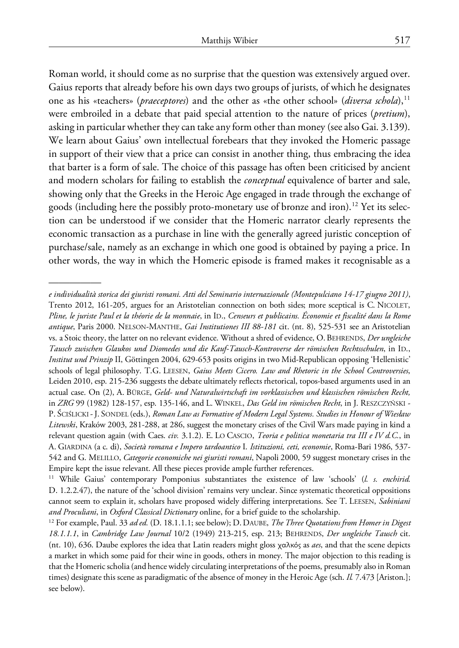Roman world, it should come as no surprise that the question was extensively argued over. Gaius reports that already before his own days two groups of jurists, of which he designates one as his «teachers» (*praeceptores*) and the other as «the other school» (*diversa schola*),<sup>[11](#page-6-0)</sup> were embroiled in a debate that paid special attention to the nature of prices (*pretium*), asking in particular whether they can take any form other than money (see also Gai. 3.139). We learn about Gaius' own intellectual forebears that they invoked the Homeric passage in support of their view that a price can consist in another thing, thus embracing the idea that barter is a form of sale. The choice of this passage has often been criticised by ancient and modern scholars for failing to establish the *conceptual* equivalence of barter and sale, showing only that the Greeks in the Heroic Age engaged in trade through the exchange of goods (including here the possibly proto-monetary use of bronze and iron).<sup>[12](#page-6-1)</sup> Yet its selection can be understood if we consider that the Homeric narrator clearly represents the economic transaction as a purchase in line with the generally agreed juristic conception of purchase/sale, namely as an exchange in which one good is obtained by paying a price. In other words, the way in which the Homeric episode is framed makes it recognisable as a

*e individualità storica dei giuristi romani. Atti del Seminario internazionale (Montepulciano 14-17 giugno 2011)*, Trento 2012, 161-205, argues for an Aristotelian connection on both sides; more sceptical is C. NICOLET, *Pline, le juriste Paul et la théorie de la monnaie*, in ID., *Censeurs et publicains. Économie et fiscalité dans la Rome antique*, Paris 2000. NELSON-MANTHE, *Gai Institutiones III 88-181* cit. (nt. 8), 525-531 see an Aristotelian vs. a Stoic theory, the latter on no relevant evidence. Without a shred of evidence, O.BEHRENDS, *Der ungleiche Tausch zwischen Glaukos und Diomedes und die Kauf-Tausch-Kontroverse der römischen Rechtsschulen*, in ID., *Institut und Prinzip* II, Göttingen 2004, 629-653 posits origins in two Mid-Republican opposing 'Hellenistic' schools of legal philosophy. T.G. LEESEN, *Gaius Meets Cicero. Law and Rhetoric in the School Controversies*, Leiden 2010, esp. 215-236 suggests the debate ultimately reflects rhetorical, topos-based arguments used in an actual case. On (2), A. BÜRGE, *Geld- und Naturalwirtschaft im vorklassischen und klassischen römischen Recht,* in *ZRG* 99 (1982) 128-157, esp. 135-146, and L. WINKEL, *Das Geld im römischen Recht*, in J. RESZCZYŃSKI - P. ŚCIŚLICKI -J. SONDEL (eds.), *Roman Law as Formative of Modern Legal Systems. Studies in Honour of Wiesław Litewski*, Kraków 2003, 281-288, at 286, suggest the monetary crises of the Civil Wars made paying in kind a relevant question again (with Caes. *civ.* 3.1.2). E. LO CASCIO, *Teoria e politica monetaria tra III e IV d.C.*, in A. GIARDINA (a c. di), *Società romana e Impero tardoantico* I. *Istituzioni, ceti, economie*, Roma-Bari 1986, 537- 542 and G. MELILLO, *Categorie economiche nei giuristi romani*, Napoli 2000, 59 suggest monetary crises in the Empire kept the issue relevant. All these pieces provide ample further references.

<span id="page-6-0"></span><sup>11</sup> While Gaius' contemporary Pomponius substantiates the existence of law 'schools' (*l. s. enchirid.* D. 1.2.2.47), the nature of the 'school division' remains very unclear. Since systematic theoretical oppositions cannot seem to explain it, scholars have proposed widely differing interpretations. See T. LEESEN, *Sabiniani and Proculiani*, in *Oxford Classical Dictionary* online, for a brief guide to the scholarship.

<span id="page-6-1"></span><sup>12</sup> For example, Paul. 33 *ad ed.* (D. 18.1.1.1; see below); D.DAUBE, *The Three Quotations from Homer in Digest 18.1.1.1*, in *Cambridge Law Journal* 10/2 (1949) 213-215, esp. 213; BEHRENDS, *Der ungleiche Tausch* cit. (nt. 10), 636. Daube explores the idea that Latin readers might gloss χαλκός as *aes*, and that the scene depicts a market in which some paid for their wine in goods, others in money. The major objection to this reading is that the Homeric scholia (and hence widely circulating interpretations of the poems, presumably also in Roman times) designate this scene as paradigmatic of the absence of money in the Heroic Age (sch. *Il.* 7.473 [Ariston.]; see below).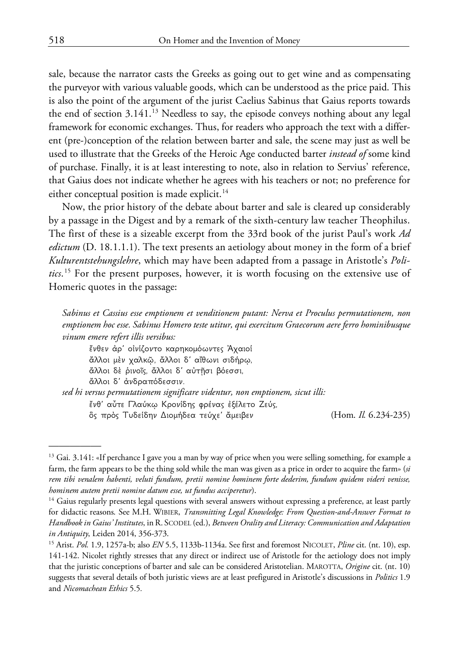sale, because the narrator casts the Greeks as going out to get wine and as compensating the purveyor with various valuable goods, which can be understood as the price paid. This is also the point of the argument of the jurist Caelius Sabinus that Gaius reports towards the end of section  $3.141<sup>13</sup>$  $3.141<sup>13</sup>$  $3.141<sup>13</sup>$  Needless to say, the episode conveys nothing about any legal framework for economic exchanges. Thus, for readers who approach the text with a different (pre-)conception of the relation between barter and sale, the scene may just as well be used to illustrate that the Greeks of the Heroic Age conducted barter *instead of* some kind of purchase. Finally, it is at least interesting to note, also in relation to Servius' reference, that Gaius does not indicate whether he agrees with his teachers or not; no preference for either conceptual position is made explicit.<sup>[14](#page-7-1)</sup>

Now, the prior history of the debate about barter and sale is cleared up considerably by a passage in the Digest and by a remark of the sixth-century law teacher Theophilus. The first of these is a sizeable excerpt from the 33rd book of the jurist Paul's work *Ad edictum* (D. 18.1.1.1). The text presents an aetiology about money in the form of a brief *Kulturentstehungslehre*, which may have been adapted from a passage in Aristotle's *Politics*. [15](#page-7-2) For the present purposes, however, it is worth focusing on the extensive use of Homeric quotes in the passage:

*Sabinus et Cassius esse emptionem et venditionem putant: Nerva et Proculus permutationem, non emptionem hoc esse. Sabinus Homero teste utitur, qui exercitum Graecorum aere ferro hominibusque vinum emere refert illis versibus:*

ἔνθεν ἀρ' οἰνίζοντο καρηκομόωντες Ἀχαιοί ἄλλοι μὲν χαλκῷ, ἄλλοι δ' αἴθωνι σιδήρῳ, ἄλλοι δὲ ῥινοῖς, ἄλλοι δ' αὐτῇσι βόεσσι, ἄλλοι δ' ἀνδραπόδεσσιν.

*sed hi versus permutationem significare videntur, non emptionem, sicut illi:* ἔνθ' αὖτε Γλαύκῳ Κρονίδης φρένας ἐξέλετο Ζεύς,

ὃς πρὸς Τυδείδην Διομήδεα τεύχε' ἄμειβεν (Hom. *Il.* 6.234-235)

<span id="page-7-0"></span><sup>&</sup>lt;sup>13</sup> Gai. 3.141: «If perchance I gave you a man by way of price when you were selling something, for example a farm, the farm appears to be the thing sold while the man was given as a price in order to acquire the farm» (*si rem tibi venalem habenti, veluti fundum, pretii nomine hominem forte dederim, fundum quidem videri venisse, hominem autem pretii nomine datum esse, ut fundus acciperetur*).

<span id="page-7-1"></span><sup>&</sup>lt;sup>14</sup> Gaius regularly presents legal questions with several answers without expressing a preference, at least partly for didactic reasons. See M.H. WIBIER, *Transmitting Legal Knowledge: From Question-and-Answer Format to Handbook in Gaius' Institutes*, inR. SCODEL (ed.), *Between Orality and Literacy: Communication and Adaptation in Antiquity*, Leiden 2014, 356-373.

<span id="page-7-2"></span><sup>15</sup> Arist. *Pol.* 1.9, 1257a-b; also *EN* 5.5, 1133b-1134a. See first and foremost NICOLET, *Pline* cit. (nt. 10), esp. 141-142. Nicolet rightly stresses that any direct or indirect use of Aristotle for the aetiology does not imply that the juristic conceptions of barter and sale can be considered Aristotelian. MAROTTA, *Origine* cit. (nt. 10) suggests that several details of both juristic views are at least prefigured in Aristotle's discussions in *Politics* 1.9 and *Nicomachean Ethics* 5.5*.*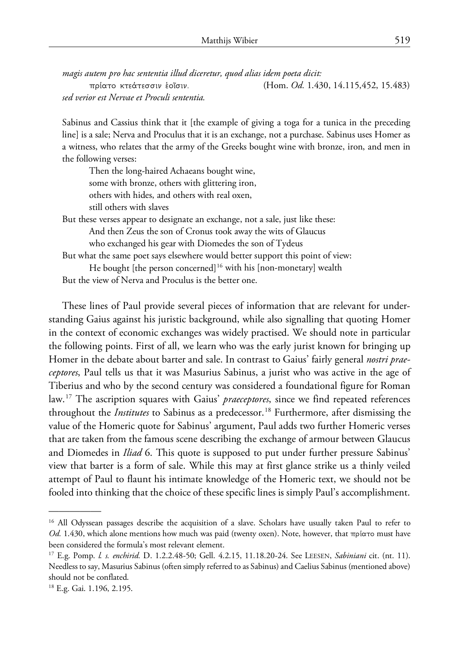*magis autem pro hac sententia illud diceretur, quod alias idem poeta dicit:* πρίατο κτεάτεσσιν ἑοῖσιν. (Hom. *Od.* 1.430, 14.115,452, 15.483) *sed verior est Nervae et Proculi sententia.*

Sabinus and Cassius think that it [the example of giving a toga for a tunica in the preceding line] is a sale; Nerva and Proculus that it is an exchange, not a purchase. Sabinus uses Homer as a witness, who relates that the army of the Greeks bought wine with bronze, iron, and men in the following verses:

Then the long-haired Achaeans bought wine, some with bronze, others with glittering iron, others with hides, and others with real oxen, still others with slaves

But these verses appear to designate an exchange, not a sale, just like these: And then Zeus the son of Cronus took away the wits of Glaucus who exchanged his gear with Diomedes the son of Tydeus

But what the same poet says elsewhere would better support this point of view: He bought [the person concerned]<sup>[16](#page-8-0)</sup> with his [non-monetary] wealth

But the view of Nerva and Proculus is the better one.

These lines of Paul provide several pieces of information that are relevant for understanding Gaius against his juristic background, while also signalling that quoting Homer in the context of economic exchanges was widely practised. We should note in particular the following points. First of all, we learn who was the early jurist known for bringing up Homer in the debate about barter and sale. In contrast to Gaius' fairly general *nostri praeceptores*, Paul tells us that it was Masurius Sabinus, a jurist who was active in the age of Tiberius and who by the second century was considered a foundational figure for Roman law.[17](#page-8-1) The ascription squares with Gaius' *praeceptores*, since we find repeated references throughout the *Institutes* to Sabinus as a predecessor.<sup>[18](#page-8-2)</sup> Furthermore, after dismissing the value of the Homeric quote for Sabinus' argument, Paul adds two further Homeric verses that are taken from the famous scene describing the exchange of armour between Glaucus and Diomedes in *Iliad* 6. This quote is supposed to put under further pressure Sabinus' view that barter is a form of sale. While this may at first glance strike us a thinly veiled attempt of Paul to flaunt his intimate knowledge of the Homeric text, we should not be fooled into thinking that the choice of these specific lines is simply Paul's accomplishment.

<span id="page-8-0"></span><sup>&</sup>lt;sup>16</sup> All Odyssean passages describe the acquisition of a slave. Scholars have usually taken Paul to refer to *Od.* 1.430, which alone mentions how much was paid (twenty oxen). Note, however, that πρίατο must have been considered the formula's most relevant element.

<span id="page-8-1"></span><sup>17</sup> E.g. Pomp. *l. s. enchirid.* D. 1.2.2.48-50; Gell. 4.2.15, 11.18.20-24. See LEESEN, *Sabiniani* cit. (nt. 11). Needless to say, Masurius Sabinus (often simply referred to as Sabinus) and Caelius Sabinus (mentioned above) should not be conflated.

<span id="page-8-2"></span><sup>&</sup>lt;sup>18</sup> E.g. Gai. 1.196, 2.195.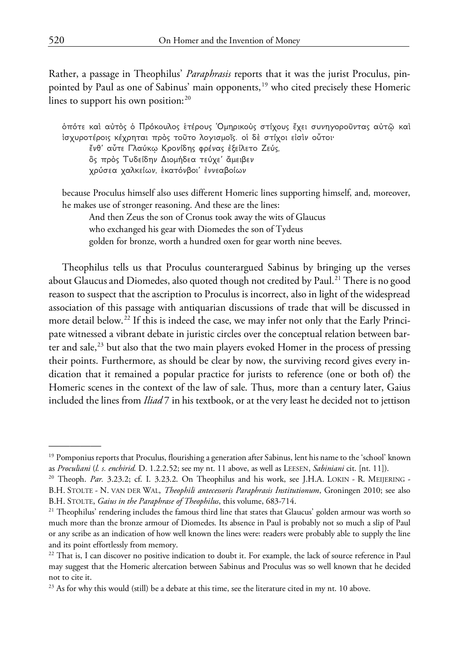Rather, a passage in Theophilus' *Paraphrasis* reports that it was the jurist Proculus, pin-pointed by Paul as one of Sabinus' main opponents,<sup>[19](#page-9-0)</sup> who cited precisely these Homeric lines to support his own position:  $20$ 

ὁπότε καὶ αὐτὸς ὁ Πρόκουλος ἑτέρους Ὁμηρικοὺς στίχους ἔχει συνηγοροῦντας αὐτῷ καὶ ἰσχυροτέροις κέχρηται πρὸς τοῦτο λογισμοῖς. οἱ δὲ στίχοι εἰσὶν οὗτοι· ἔνθ' αὖτε Γλαύκῳ Κρονίδης φρένας ἐξείλετο Ζεύς, ὃς πρὸς Τυδείδην Διομήδεα τεύχε' ἄμειβεν χρύσεα χαλκείων, ἑκατόνβοι' ἐννεαβοίων

because Proculus himself also uses different Homeric lines supporting himself, and, moreover, he makes use of stronger reasoning. And these are the lines:

And then Zeus the son of Cronus took away the wits of Glaucus who exchanged his gear with Diomedes the son of Tydeus golden for bronze, worth a hundred oxen for gear worth nine beeves.

Theophilus tells us that Proculus counterargued Sabinus by bringing up the verses about Glaucus and Diomedes, also quoted though not credited by Paul.<sup>[21](#page-9-2)</sup> There is no good reason to suspect that the ascription to Proculus is incorrect, also in light of the widespread association of this passage with antiquarian discussions of trade that will be discussed in more detail below.<sup>[22](#page-9-3)</sup> If this is indeed the case, we may infer not only that the Early Principate witnessed a vibrant debate in juristic circles over the conceptual relation between barter and sale, $^{23}$  $^{23}$  $^{23}$  but also that the two main players evoked Homer in the process of pressing their points. Furthermore, as should be clear by now, the surviving record gives every indication that it remained a popular practice for jurists to reference (one or both of) the Homeric scenes in the context of the law of sale. Thus, more than a century later, Gaius included the lines from *Iliad* 7 in his textbook, or at the very least he decided not to jettison

<span id="page-9-0"></span><sup>&</sup>lt;sup>19</sup> Pomponius reports that Proculus, flourishing a generation after Sabinus, lent his name to the 'school' known as *Proculiani* (*l. s. enchirid.* D. 1.2.2.52; see my nt. 11 above, as well as LEESEN, *Sabiniani* cit. [nt. 11]).

<span id="page-9-1"></span><sup>&</sup>lt;sup>20</sup> Theoph. *Par.* 3.23.2; cf. I. 3.23.2. On Theophilus and his work, see J.H.A. LOKIN - R. MEIJERING -B.H. STOLTE - N. VAN DER WAL, *Theophili antecessoris Paraphrasis Institutionum*, Groningen 2010; see also B.H. STOLTE, *Gaius in the Paraphrase of Theophilus*, this volume, 683-714.

<span id="page-9-2"></span><sup>&</sup>lt;sup>21</sup> Theophilus' rendering includes the famous third line that states that Glaucus' golden armour was worth so much more than the bronze armour of Diomedes. Its absence in Paul is probably not so much a slip of Paul or any scribe as an indication of how well known the lines were: readers were probably able to supply the line and its point effortlessly from memory.

<span id="page-9-3"></span><sup>&</sup>lt;sup>22</sup> That is, I can discover no positive indication to doubt it. For example, the lack of source reference in Paul may suggest that the Homeric altercation between Sabinus and Proculus was so well known that he decided not to cite it.

<span id="page-9-4"></span> $^{23}$  As for why this would (still) be a debate at this time, see the literature cited in my nt. 10 above.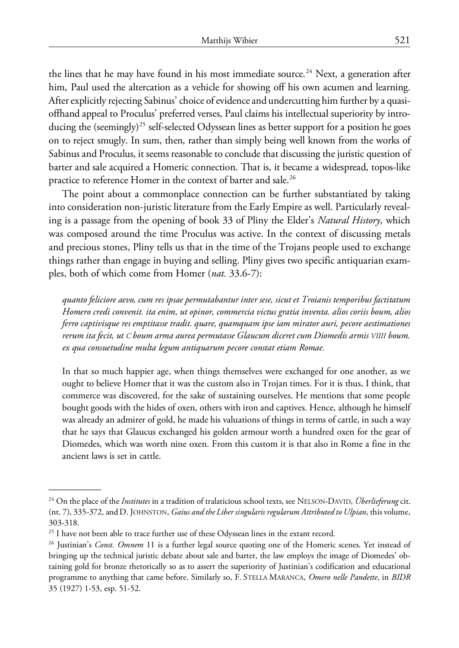the lines that he may have found in his most immediate source.<sup>[24](#page-10-0)</sup> Next, a generation after him, Paul used the altercation as a vehicle for showing off his own acumen and learning. After explicitly rejecting Sabinus' choice of evidence and undercutting him further by a quasioffhand appeal to Proculus' preferred verses, Paul claims his intellectual superiority by introducing the (seemingly)<sup>25</sup> self-selected Odyssean lines as better support for a position he goes on to reject smugly. In sum, then, rather than simply being well known from the works of Sabinus and Proculus, it seems reasonable to conclude that discussing the juristic question of barter and sale acquired a Homeric connection. That is, it became a widespread, topos-like practice to reference Homer in the context of barter and sale.<sup>[26](#page-10-2)</sup>

The point about a commonplace connection can be further substantiated by taking into consideration non-juristic literature from the Early Empire as well. Particularly revealing is a passage from the opening of book 33 of Pliny the Elder's *Natural History*, which was composed around the time Proculus was active. In the context of discussing metals and precious stones, Pliny tells us that in the time of the Trojans people used to exchange things rather than engage in buying and selling. Pliny gives two specific antiquarian examples, both of which come from Homer (*nat.* 33.6-7):

*quanto feliciore aevo, cum res ipsae permutabantur inter sese, sicut et Troianis temporibus factitatum Homero credi convenit. ita enim, ut opinor, commercia victus gratia inventa. alios coriis boum, alios ferro captivisque res emptitasse tradit. quare, quamquam ipse iam mirator auri, pecore aestimationes rerum ita fecit, ut C boum arma aurea permutasse Glaucum diceret cum Diomedis armis VIIII boum. ex qua consuetudine multa legum antiquarum pecore constat etiam Romae.*

In that so much happier age, when things themselves were exchanged for one another, as we ought to believe Homer that it was the custom also in Trojan times. For it is thus, I think, that commerce was discovered, for the sake of sustaining ourselves. He mentions that some people bought goods with the hides of oxen, others with iron and captives. Hence, although he himself was already an admirer of gold, he made his valuations of things in terms of cattle, in such a way that he says that Glaucus exchanged his golden armour worth a hundred oxen for the gear of Diomedes, which was worth nine oxen. From this custom it is that also in Rome a fine in the ancient laws is set in cattle.

<span id="page-10-0"></span><sup>24</sup> On the place of the *Institutes* in a tradition of tralaticious school texts, see NELSON-DAVID, *Überlieferung* cit. (nt. 7), 335-372, and D. JOHNSTON, *Gaius and the Liber singularis regularum Attributed to Ulpian*, this volume, 303-318.

<span id="page-10-1"></span> $25$  I have not been able to trace further use of these Odyssean lines in the extant record.

<span id="page-10-2"></span><sup>26</sup> Justinian's *Const. Omnem* 11 is a further legal source quoting one of the Homeric scenes. Yet instead of bringing up the technical juristic debate about sale and barter, the law employs the image of Diomedes' obtaining gold for bronze rhetorically so as to assert the superiority of Justinian's codification and educational programme to anything that came before. Similarly so, F. STELLA MARANCA, *Omero nelle Pandette*, in *BIDR* 35 (1927) 1-53, esp. 51-52.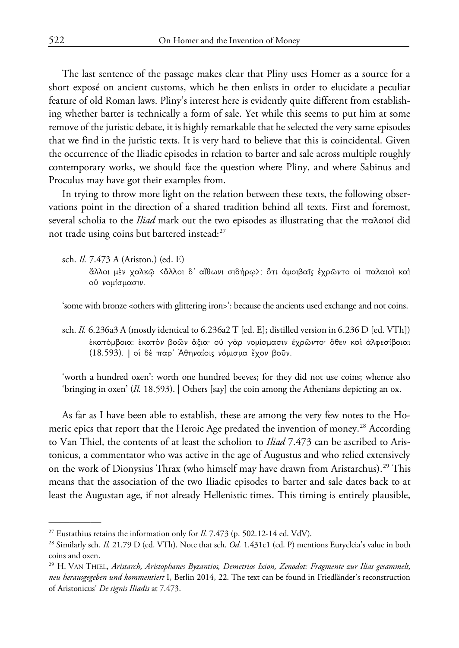The last sentence of the passage makes clear that Pliny uses Homer as a source for a short exposé on ancient customs, which he then enlists in order to elucidate a peculiar feature of old Roman laws. Pliny's interest here is evidently quite different from establishing whether barter is technically a form of sale. Yet while this seems to put him at some remove of the juristic debate, it is highly remarkable that he selected the very same episodes that we find in the juristic texts. It is very hard to believe that this is coincidental. Given the occurrence of the Iliadic episodes in relation to barter and sale across multiple roughly contemporary works, we should face the question where Pliny, and where Sabinus and Proculus may have got their examples from.

In trying to throw more light on the relation between these texts, the following observations point in the direction of a shared tradition behind all texts. First and foremost, several scholia to the *Iliad* mark out the two episodes as illustrating that the παλαιοί did not trade using coins but bartered instead:<sup>[27](#page-11-0)</sup>

sch. *Il.* 7.473 A (Ariston.) (ed. E)

—————

ἄλλοι μὲν χαλκῷ <ἄλλοι δ' αἴθωνι σιδήρῳ>: ὅτι ἀμοιβαῖς ἐχρῶντο οἱ παλαιοὶ καὶ οὐ νομίσμασιν.

'some with bronze <others with glittering iron>': because the ancients used exchange and not coins.

sch. *Il.* 6.236a3 A (mostly identical to 6.236a2 T [ed. E]; distilled version in 6.236 D [ed. VTh]) ἑκατόμβοια: ἑκατὸν βοῶν ἄξια· οὐ γὰρ νομίσμασιν ἐχρῶντο· ὅθεν καὶ ἀλφεσίβοιαι (18.593). | οἱ δὲ παρ' Ἀθηναίοις νόμισμα ἔχον βοῦν.

'worth a hundred oxen': worth one hundred beeves; for they did not use coins; whence also 'bringing in oxen' (*Il.* 18.593). | Others [say] the coin among the Athenians depicting an ox.

As far as I have been able to establish, these are among the very few notes to the Ho-meric epics that report that the Heroic Age predated the invention of money.<sup>[28](#page-11-1)</sup> According to Van Thiel, the contents of at least the scholion to *Iliad* 7.473 can be ascribed to Aristonicus, a commentator who was active in the age of Augustus and who relied extensively on the work of Dionysius Thrax (who himself may have drawn from Aristarchus).<sup>[29](#page-11-2)</sup> This means that the association of the two Iliadic episodes to barter and sale dates back to at least the Augustan age, if not already Hellenistic times. This timing is entirely plausible,

<span id="page-11-0"></span><sup>&</sup>lt;sup>27</sup> Eustathius retains the information only for  $I\!I$ , 7.473 (p. 502.12-14 ed. VdV).

<span id="page-11-1"></span><sup>28</sup> Similarly sch. *Il.* 21.79 D (ed. VTh). Note that sch. *Od.* 1.431c1 (ed. P) mentions Eurycleia's value in both coins and oxen.

<span id="page-11-2"></span><sup>29</sup> H. VAN THIEL, *Aristarch, Aristophanes Byzantios, Demetrios Ixion, Zenodot: Fragmente zur Ilias gesammelt, neu herausgegeben und kommentiert* I, Berlin 2014, 22. The text can be found in Friedländer's reconstruction of Aristonicus' *De signis Iliadis* at 7.473.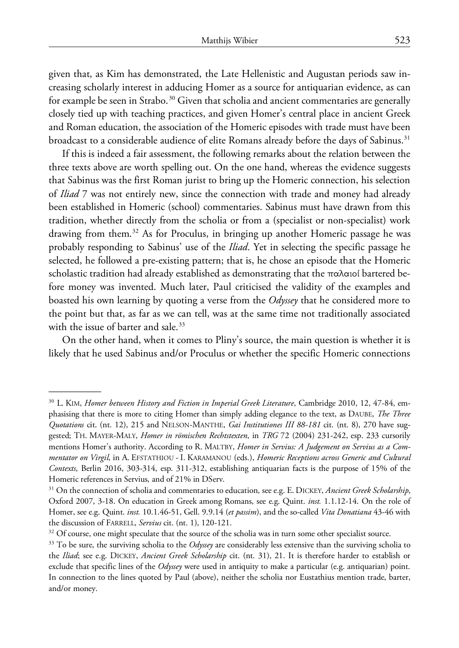given that, as Kim has demonstrated, the Late Hellenistic and Augustan periods saw increasing scholarly interest in adducing Homer as a source for antiquarian evidence, as can for example be seen in Strabo.<sup>[30](#page-12-0)</sup> Given that scholia and ancient commentaries are generally closely tied up with teaching practices, and given Homer's central place in ancient Greek and Roman education, the association of the Homeric episodes with trade must have been broadcast to a considerable audience of elite Romans already before the days of Sabinus.<sup>31</sup>

If this is indeed a fair assessment, the following remarks about the relation between the three texts above are worth spelling out. On the one hand, whereas the evidence suggests that Sabinus was the first Roman jurist to bring up the Homeric connection, his selection of *Iliad* 7 was not entirely new, since the connection with trade and money had already been established in Homeric (school) commentaries. Sabinus must have drawn from this tradition, whether directly from the scholia or from a (specialist or non-specialist) work drawing from them.[32](#page-12-2) As for Proculus, in bringing up another Homeric passage he was probably responding to Sabinus' use of the *Iliad*. Yet in selecting the specific passage he selected, he followed a pre-existing pattern; that is, he chose an episode that the Homeric scholastic tradition had already established as demonstrating that the παλαιοί bartered before money was invented. Much later, Paul criticised the validity of the examples and boasted his own learning by quoting a verse from the *Odyssey* that he considered more to the point but that, as far as we can tell, was at the same time not traditionally associated with the issue of barter and sale.<sup>[33](#page-12-3)</sup>

On the other hand, when it comes to Pliny's source, the main question is whether it is likely that he used Sabinus and/or Proculus or whether the specific Homeric connections

<span id="page-12-0"></span><sup>30</sup> L. KIM, *Homer between History and Fiction in Imperial Greek Literature*, Cambridge 2010, 12, 47-84, emphasising that there is more to citing Homer than simply adding elegance to the text, as DAUBE, *The Three Quotations* cit. (nt. 12), 215 and NELSON-MANTHE, *Gai Institutiones III 88-181* cit. (nt. 8), 270 have suggested; TH. MAYER-MALY, *Homer in römischen Rechtstexten*, in *TRG* 72 (2004) 231-242, esp. 233 cursorily mentions Homer's authority. According to R. MALTBY, *Homer in Servius: A Judgement on Servius as a Commentator on Virgil*, in A. EFSTATHIOU - I. KARAMANOU (eds.), *Homeric Receptions across Generic and Cultural Contexts*, Berlin 2016, 303-314, esp. 311-312, establishing antiquarian facts is the purpose of 15% of the Homeric references in Servius, and of 21% in DServ.

<span id="page-12-1"></span><sup>31</sup> On the connection of scholia and commentaries to education, see e.g. E. DICKEY, *Ancient Greek Scholarship*, Oxford 2007, 3-18. On education in Greek among Romans, see e.g. Quint. *inst.* 1.1.12-14. On the role of Homer, see e.g. Quint. *inst.* 10.1.46-51, Gell. 9.9.14 (*et passim*), and the so-called *Vita Donatiana* 43-46 with the discussion of FARRELL, *Servius* cit. (nt. 1), 120-121.

<span id="page-12-2"></span> $32$  Of course, one might speculate that the source of the scholia was in turn some other specialist source.

<span id="page-12-3"></span><sup>33</sup> To be sure, the surviving scholia to the *Odyssey* are considerably less extensive than the surviving scholia to the *Iliad*; see e.g. DICKEY, *Ancient Greek Scholarship* cit. (nt. 31), 21. It is therefore harder to establish or exclude that specific lines of the *Odyssey* were used in antiquity to make a particular (e.g. antiquarian) point. In connection to the lines quoted by Paul (above), neither the scholia nor Eustathius mention trade, barter, and/or money.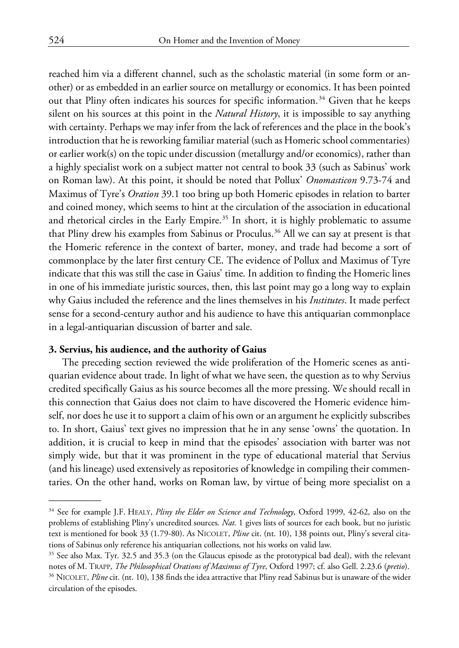reached him via a different channel, such as the scholastic material (in some form or another) or as embedded in an earlier source on metallurgy or economics. It has been pointed out that Pliny often indicates his sources for specific information.<sup>[34](#page-13-0)</sup> Given that he keeps silent on his sources at this point in the *Natural History*, it is impossible to say anything with certainty. Perhaps we may infer from the lack of references and the place in the book's introduction that he is reworking familiar material (such as Homeric school commentaries) or earlier work(s) on the topic under discussion (metallurgy and/or economics), rather than a highly specialist work on a subject matter not central to book 33 (such as Sabinus' work on Roman law). At this point, it should be noted that Pollux' *Onomasticon* 9.73-74 and Maximus of Tyre's *Oration* 39.1 too bring up both Homeric episodes in relation to barter and coined money, which seems to hint at the circulation of the association in educational and rhetorical circles in the Early Empire.<sup>[35](#page-13-1)</sup> In short, it is highly problematic to assume that Pliny drew his examples from Sabinus or Proculus.<sup>[36](#page-13-2)</sup> All we can say at present is that the Homeric reference in the context of barter, money, and trade had become a sort of commonplace by the later first century CE. The evidence of Pollux and Maximus of Tyre indicate that this was still the case in Gaius' time. In addition to finding the Homeric lines in one of his immediate juristic sources, then, this last point may go a long way to explain why Gaius included the reference and the lines themselves in his *Institutes*. It made perfect sense for a second-century author and his audience to have this antiquarian commonplace in a legal-antiquarian discussion of barter and sale.

### **3. Servius, his audience, and the authority of Gaius**

The preceding section reviewed the wide proliferation of the Homeric scenes as antiquarian evidence about trade. In light of what we have seen, the question as to why Servius credited specifically Gaius as his source becomes all the more pressing. We should recall in this connection that Gaius does not claim to have discovered the Homeric evidence himself, nor does he use it to support a claim of his own or an argument he explicitly subscribes to. In short, Gaius' text gives no impression that he in any sense 'owns' the quotation. In addition, it is crucial to keep in mind that the episodes' association with barter was not simply wide, but that it was prominent in the type of educational material that Servius (and his lineage) used extensively as repositories of knowledge in compiling their commentaries. On the other hand, works on Roman law, by virtue of being more specialist on a

<span id="page-13-0"></span><sup>34</sup> See for example J.F. HEALY, *Pliny the Elder on Science and Technology*, Oxford 1999, 42-62, also on the problems of establishing Pliny's uncredited sources. *Nat.* 1 gives lists of sources for each book, but no juristic text is mentioned for book 33 (1.79-80). As NICOLET, *Pline* cit. (nt. 10), 138 points out, Pliny's several citations of Sabinus only reference his antiquarian collections, not his works on valid law.

<span id="page-13-2"></span><span id="page-13-1"></span><sup>35</sup> See also Max. Tyr. 32.5 and 35.3 (on the Glaucus episode as the prototypical bad deal), with the relevant notes of M. TRAPP, *The Philosophical Orations of Maximus of Tyre*, Oxford 1997; cf. also Gell. 2.23.6 (*pretio*). <sup>36</sup> NICOLET, *Pline* cit. (nt. 10), 138 finds the idea attractive that Pliny read Sabinus but is unaware of the wider circulation of the episodes.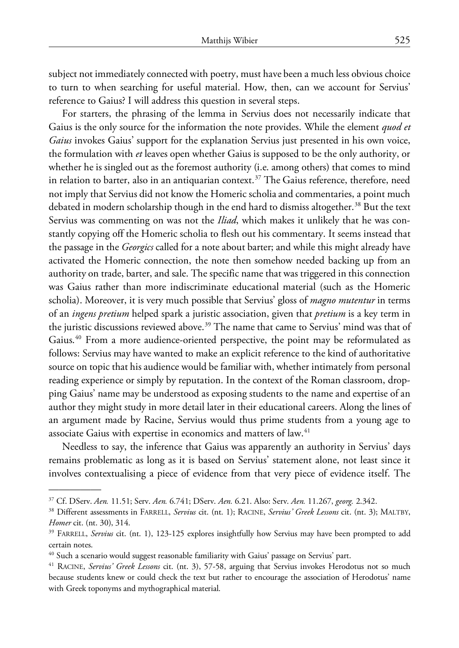subject not immediately connected with poetry, must have been a much less obvious choice to turn to when searching for useful material. How, then, can we account for Servius' reference to Gaius? I will address this question in several steps.

For starters, the phrasing of the lemma in Servius does not necessarily indicate that Gaius is the only source for the information the note provides. While the element *quod et Gaius* invokes Gaius' support for the explanation Servius just presented in his own voice, the formulation with *et* leaves open whether Gaius is supposed to be the only authority, or whether he is singled out as the foremost authority (i.e. among others) that comes to mind in relation to barter, also in an antiquarian context.<sup>[37](#page-14-0)</sup> The Gaius reference, therefore, need not imply that Servius did not know the Homeric scholia and commentaries, a point much debated in modern scholarship though in the end hard to dismiss altogether.<sup>38</sup> But the text Servius was commenting on was not the *Iliad*, which makes it unlikely that he was constantly copying off the Homeric scholia to flesh out his commentary. It seems instead that the passage in the *Georgics* called for a note about barter; and while this might already have activated the Homeric connection, the note then somehow needed backing up from an authority on trade, barter, and sale. The specific name that was triggered in this connection was Gaius rather than more indiscriminate educational material (such as the Homeric scholia). Moreover, it is very much possible that Servius' gloss of *magno mutentur* in terms of an *ingens pretium* helped spark a juristic association, given that *pretium* is a key term in the juristic discussions reviewed above.<sup>[39](#page-14-2)</sup> The name that came to Servius' mind was that of Gaius.[40](#page-14-3) From a more audience-oriented perspective, the point may be reformulated as follows: Servius may have wanted to make an explicit reference to the kind of authoritative source on topic that his audience would be familiar with, whether intimately from personal reading experience or simply by reputation. In the context of the Roman classroom, dropping Gaius' name may be understood as exposing students to the name and expertise of an author they might study in more detail later in their educational careers. Along the lines of an argument made by Racine, Servius would thus prime students from a young age to associate Gaius with expertise in economics and matters of law.<sup>41</sup>

Needless to say, the inference that Gaius was apparently an authority in Servius' days remains problematic as long as it is based on Servius' statement alone, not least since it involves contextualising a piece of evidence from that very piece of evidence itself. The

<span id="page-14-0"></span><sup>37</sup> Cf. DServ. *Aen.* 11.51; Serv. *Aen.* 6.741; DServ. *Aen.* 6.21. Also: Serv. *Aen.* 11.267, *georg.* 2.342.

<span id="page-14-1"></span><sup>38</sup> Different assessments in FARRELL, *Servius* cit. (nt. 1); RACINE, *Servius' Greek Lessons* cit. (nt. 3); MALTBY, *Homer* cit. (nt. 30), 314.

<span id="page-14-2"></span><sup>&</sup>lt;sup>39</sup> FARRELL, *Servius* cit. (nt. 1), 123-125 explores insightfully how Servius may have been prompted to add certain notes.

<span id="page-14-3"></span><sup>&</sup>lt;sup>40</sup> Such a scenario would suggest reasonable familiarity with Gaius' passage on Servius' part.

<span id="page-14-4"></span><sup>41</sup> RACINE, *Servius' Greek Lessons* cit. (nt. 3), 57-58, arguing that Servius invokes Herodotus not so much because students knew or could check the text but rather to encourage the association of Herodotus' name with Greek toponyms and mythographical material.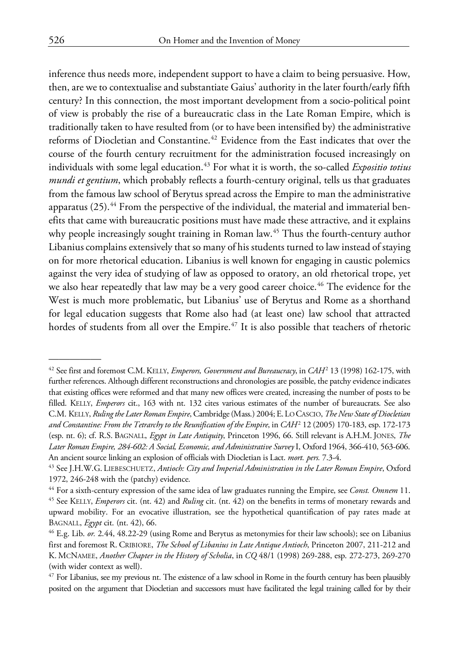inference thus needs more, independent support to have a claim to being persuasive. How, then, are we to contextualise and substantiate Gaius' authority in the later fourth/early fifth century? In this connection, the most important development from a socio-political point of view is probably the rise of a bureaucratic class in the Late Roman Empire, which is traditionally taken to have resulted from (or to have been intensified by) the administrative reforms of Diocletian and Constantine.<sup>[42](#page-15-0)</sup> Evidence from the East indicates that over the course of the fourth century recruitment for the administration focused increasingly on individuals with some legal education.<sup>[43](#page-15-1)</sup> For what it is worth, the so-called *Expositio totius mundi et gentium*, which probably reflects a fourth-century original, tells us that graduates from the famous law school of Berytus spread across the Empire to man the administrative apparatus  $(25)$ .<sup>[44](#page-15-2)</sup> From the perspective of the individual, the material and immaterial benefits that came with bureaucratic positions must have made these attractive, and it explains why people increasingly sought training in Roman law.<sup>[45](#page-15-3)</sup> Thus the fourth-century author Libanius complains extensively that so many of his students turned to law instead of staying on for more rhetorical education. Libanius is well known for engaging in caustic polemics against the very idea of studying of law as opposed to oratory, an old rhetorical trope, yet we also hear repeatedly that law may be a very good career choice.<sup>[46](#page-15-4)</sup> The evidence for the West is much more problematic, but Libanius' use of Berytus and Rome as a shorthand for legal education suggests that Rome also had (at least one) law school that attracted hordes of students from all over the Empire.<sup>[47](#page-15-5)</sup> It is also possible that teachers of rhetoric

<span id="page-15-0"></span><sup>42</sup> See first and foremost C.M.KELLY, *Emperors, Government and Bureaucracy*, in *CAH*<sup>2</sup> 13 (1998) 162-175, with further references. Although different reconstructions and chronologies are possible, the patchy evidence indicates that existing offices were reformed and that many new offices were created, increasing the number of posts to be filled. KELLY, *Emperors* cit., 163 with nt. 132 cites various estimates of the number of bureaucrats. See also C.M. KELLY, *Ruling the Later Roman Empire*, Cambridge (Mass.) 2004; E.LO CASCIO, *The New State of Diocletian and Constantine: From the Tetrarchy to the Reunification of the Empire*, in *CAH*<sup>2</sup> 12 (2005) 170-183, esp. 172-173 (esp. nt. 6); cf. R.S. BAGNALL, *Egypt in Late Antiquity*, Princeton 1996, 66. Still relevant is A.H.M.JONES, *The Later Roman Empire, 284-602: A Social, Economic, and Administrative Survey* I, Oxford 1964, 366-410, 563-606. An ancient source linking an explosion of officials with Diocletian is Lact. *mort. pers.* 7.3-4.

<span id="page-15-1"></span><sup>43</sup> See J.H.W.G. LIEBESCHUETZ, *Antioch: City and Imperial Administration in the Later Roman Empire*, Oxford 1972, 246-248 with the (patchy) evidence.

<span id="page-15-3"></span><span id="page-15-2"></span><sup>44</sup> For a sixth-century expression of the same idea of law graduates running the Empire, see *Const. Omnem* 11. <sup>45</sup> See KELLY, *Emperors* cit. (nt. 42) and *Ruling* cit. (nt. 42) on the benefits in terms of monetary rewards and upward mobility. For an evocative illustration, see the hypothetical quantification of pay rates made at BAGNALL, *Egypt* cit. (nt. 42), 66.

<span id="page-15-4"></span><sup>46</sup> E.g. Lib. *or.* 2.44, 48.22-29 (using Rome and Berytus as metonymies for their law schools); see on Libanius first and foremost R. CRIBIORE, *The School of Libanius in Late Antique Antioch*, Princeton 2007, 211-212 and K. MCNAMEE, *Another Chapter in the History of Scholia*, in *CQ* 48/1 (1998) 269-288, esp. 272-273, 269-270 (with wider context as well).

<span id="page-15-5"></span><sup>47</sup> For Libanius, see my previous nt. The existence of a law school in Rome in the fourth century has been plausibly posited on the argument that Diocletian and successors must have facilitated the legal training called for by their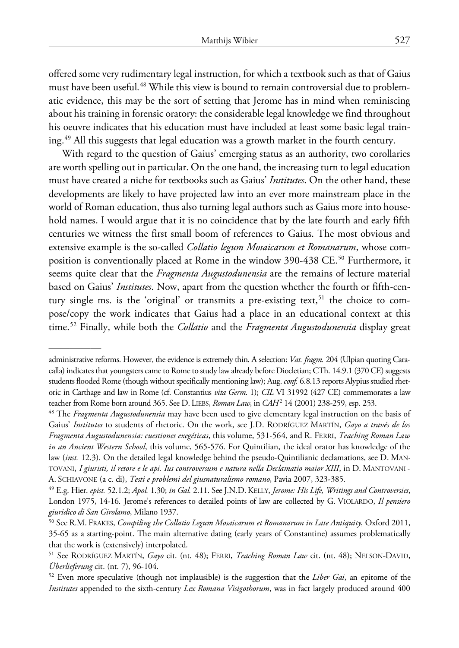offered some very rudimentary legal instruction, for which a textbook such as that of Gaius must have been useful.<sup>[48](#page-16-0)</sup> While this view is bound to remain controversial due to problematic evidence, this may be the sort of setting that Jerome has in mind when reminiscing about his training in forensic oratory: the considerable legal knowledge we find throughout his oeuvre indicates that his education must have included at least some basic legal training.[49](#page-16-1) All this suggests that legal education was a growth market in the fourth century.

With regard to the question of Gaius' emerging status as an authority, two corollaries are worth spelling out in particular. On the one hand, the increasing turn to legal education must have created a niche for textbooks such as Gaius' *Institutes*. On the other hand, these developments are likely to have projected law into an ever more mainstream place in the world of Roman education, thus also turning legal authors such as Gaius more into household names. I would argue that it is no coincidence that by the late fourth and early fifth centuries we witness the first small boom of references to Gaius. The most obvious and extensive example is the so-called *Collatio legum Mosaicarum et Romanarum*, whose com-position is conventionally placed at Rome in the window 390-438 CE.<sup>[50](#page-16-2)</sup> Furthermore, it seems quite clear that the *Fragmenta Augustodunensia* are the remains of lecture material based on Gaius' *Institutes*. Now, apart from the question whether the fourth or fifth-cen-tury single ms. is the 'original' or transmits a pre-existing text,<sup>[51](#page-16-3)</sup> the choice to compose/copy the work indicates that Gaius had a place in an educational context at this time.[52](#page-16-4) Finally, while both the *Collatio* and the *Fragmenta Augustodunensia* display great

administrative reforms. However, the evidence is extremely thin. A selection: *Vat. fragm.* 204 (Ulpian quoting Caracalla) indicates that youngsters came to Rome to study law already before Diocletian; CTh. 14.9.1 (370 CE) suggests students flooded Rome (though without specifically mentioning law); Aug. *conf.* 6.8.13 reports Alypius studied rhetoric in Carthage and law in Rome (cf. Constantius *vita Germ*. 1); *CIL* VI 31992 (427 CE) commemorates a law teacher from Rome born around 365. See D. LIEBS, *Roman Law*, in *CAH*<sup>2</sup> 14 (2001) 238-259, esp. 253.

<span id="page-16-0"></span><sup>48</sup> The *Fragmenta Augustodunensia* may have been used to give elementary legal instruction on the basis of Gaius' *Institutes* to students of rhetoric. On the work, see J.D. RODRÍGUEZ MARTÍN, *Gayo a través de los Fragmenta Augustodunensia: cuestiones exegéticas*, this volume, 531-564, and R. FERRI, *Teaching Roman Law in an Ancient Western School*, this volume, 565-576. For Quintilian, the ideal orator has knowledge of the law (*inst.* 12.3). On the detailed legal knowledge behind the pseudo-Quintilianic declamations, see D. MAN-TOVANI, *I giuristi, il retore e le api. Ius controversum e natura nella Declamatio maior XIII*, in D. MANTOVANI - A. SCHIAVONE (a c. di), *Testi e problemi del giusnaturalismo romano*, Pavia 2007, 323-385.

<span id="page-16-1"></span><sup>49</sup> E.g. Hier. *epist.* 52.1.2; *Apol.* 1.30; *in Gal.* 2.11. See J.N.D.KELLY, *Jerome: His Life, Writings and Controversies*, London 1975, 14-16. Jerome's references to detailed points of law are collected by G. VIOLARDO, *Il pensiero giuridico di San Girolamo*, Milano 1937.

<span id="page-16-2"></span><sup>50</sup> See R.M. FRAKES, *Compiling the Collatio Legum Mosaicarum et Romanarum in Late Antiquity*, Oxford 2011, 35-65 as a starting-point. The main alternative dating (early years of Constantine) assumes problematically that the work is (extensively) interpolated.

<span id="page-16-4"></span><span id="page-16-3"></span><sup>51</sup> See RODRÍGUEZ MARTÍN, *Gayo* cit. (nt. 48); FERRI, *Teaching Roman Law* cit. (nt. 48); NELSON-DAVID, *Überlieferung* cit. (nt. 7), 96-104.

<sup>52</sup> Even more speculative (though not implausible) is the suggestion that the *Liber Gai*, an epitome of the *Institutes* appended to the sixth-century *Lex Romana Visigothorum*, was in fact largely produced around 400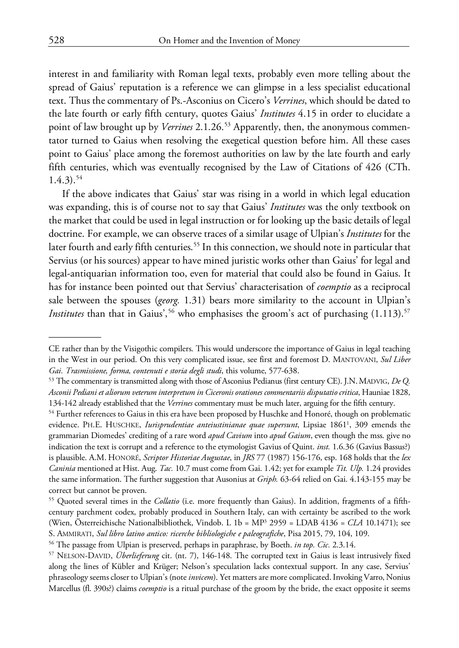interest in and familiarity with Roman legal texts, probably even more telling about the spread of Gaius' reputation is a reference we can glimpse in a less specialist educational text. Thus the commentary of Ps.-Asconius on Cicero's *Verrines*, which should be dated to the late fourth or early fifth century, quotes Gaius' *Institutes* 4.15 in order to elucidate a point of law brought up by *Verrines* 2.1.26.<sup>[53](#page-17-0)</sup> Apparently, then, the anonymous commentator turned to Gaius when resolving the exegetical question before him. All these cases point to Gaius' place among the foremost authorities on law by the late fourth and early fifth centuries, which was eventually recognised by the Law of Citations of 426 (CTh.  $1.4.3$ ).<sup>[54](#page-17-1)</sup>

If the above indicates that Gaius' star was rising in a world in which legal education was expanding, this is of course not to say that Gaius' *Institutes* was the only textbook on the market that could be used in legal instruction or for looking up the basic details of legal doctrine. For example, we can observe traces of a similar usage of Ulpian's *Institutes* for the later fourth and early fifth centuries.<sup>[55](#page-17-2)</sup> In this connection, we should note in particular that Servius (or his sources) appear to have mined juristic works other than Gaius' for legal and legal-antiquarian information too, even for material that could also be found in Gaius. It has for instance been pointed out that Servius' characterisation of *coemptio* as a reciprocal sale between the spouses (*georg.* 1.31) bears more similarity to the account in Ulpian's *Institutes* than that in Gaius',<sup>[56](#page-17-3)</sup> who emphasises the groom's act of purchasing  $(1.113).$ <sup>57</sup>

CE rather than by the Visigothic compilers. This would underscore the importance of Gaius in legal teaching in the West in our period. On this very complicated issue, see first and foremost D. MANTOVANI, *Sul Liber Gai. Trasmissione, forma, contenuti e storia degli studi*, this volume, 577-638.

<span id="page-17-0"></span><sup>53</sup> The commentary is transmitted along with those of Asconius Pedianus (first century CE). J.N.MADVIG, *De Q. Asconii Pediani et aliorum veterum interpretum in Ciceronis orationes commentariis disputatio critica*, Hauniae 1828, 134-142 already established that the *Verrines* commentary must be much later, arguing for the fifth century.

<span id="page-17-1"></span><sup>&</sup>lt;sup>54</sup> Further references to Gaius in this era have been proposed by Huschke and Honoré, though on problematic evidence. PH.E. HUSCHKE, *Iurisprudentiae anteiustinianae quae supersunt*, Lipsiae 18611 , 309 emends the grammarian Diomedes' crediting of a rare word *apud Cavium* into *apud Gaium*, even though the mss. give no indication the text is corrupt and a reference to the etymologist Gavius of Quint. *inst.* 1.6.36 (Gavius Bassus?) is plausible. A.M. HONORÉ, *Scriptor Historiae Augustae*, in *JRS* 77 (1987) 156-176, esp. 168 holds that the *lex Caninia* mentioned at Hist. Aug. *Tac.* 10.7 must come from Gai. 1.42; yet for example *Tit. Ulp.* 1.24 provides the same information. The further suggestion that Ausonius at *Griph.* 63-64 relied on Gai. 4.143-155 may be correct but cannot be proven.

<span id="page-17-2"></span><sup>55</sup> Quoted several times in the *Collatio* (i.e. more frequently than Gaius). In addition, fragments of a fifthcentury parchment codex, probably produced in Southern Italy, can with certainty be ascribed to the work (Wien, Österreichische Nationalbibliothek, Vindob. L 1b = MP3 2959 = LDAB 4136 = *CLA* 10.1471); see S. AMMIRATI, *Sul libro latino antico: ricerche bibliologiche e paleografiche*, Pisa 2015, 79, 104, 109.

<span id="page-17-3"></span><sup>56</sup> The passage from Ulpian is preserved, perhaps in paraphrase, by Boeth. *in top. Cic.* 2.3.14.

<span id="page-17-4"></span><sup>57</sup> NELSON-DAVID, *Überlieferung* cit. (nt. 7), 146-148. The corrupted text in Gaius is least intrusively fixed along the lines of Kübler and Krüger; Nelson's speculation lacks contextual support. In any case, Servius' phraseology seems closer to Ulpian's (note *invicem*). Yet matters are more complicated. Invoking Varro, Nonius Marcellus (fl. 390s?) claims *coemptio* is a ritual purchase of the groom by the bride, the exact opposite it seems